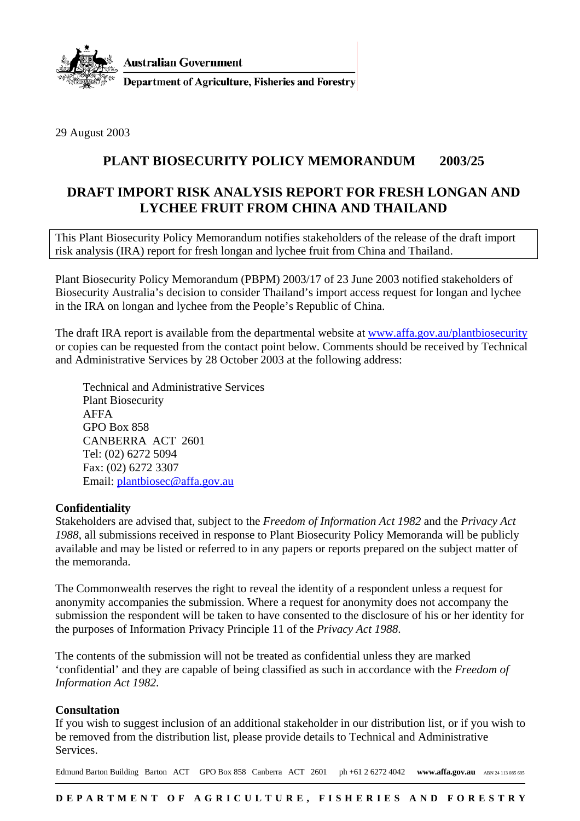

29 August 2003

## **PLANT BIOSECURITY POLICY MEMORANDUM 2003/25**

## **DRAFT IMPORT RISK ANALYSIS REPORT FOR FRESH LONGAN AND LYCHEE FRUIT FROM CHINA AND THAILAND**

This Plant Biosecurity Policy Memorandum notifies stakeholders of the release of the draft import risk analysis (IRA) report for fresh longan and lychee fruit from China and Thailand.

Plant Biosecurity Policy Memorandum (PBPM) 2003/17 of 23 June 2003 notified stakeholders of Biosecurity Australia's decision to consider Thailand's import access request for longan and lychee in the IRA on longan and lychee from the People's Republic of China.

The draft IRA report is available from the departmental website at www.affa.gov.au/plantbiosecurity or copies can be requested from the contact point below. Comments should be received by Technical and Administrative Services by 28 October 2003 at the following address:

Technical and Administrative Services Plant Biosecurity AFFA GPO Box 858 CANBERRA ACT 2601 Tel: (02) 6272 5094 Fax: (02) 6272 3307 Email: plantbiosec@affa.gov.au

## **Confidentiality**

Stakeholders are advised that, subject to the *Freedom of Information Act 1982* and the *Privacy Act 1988*, all submissions received in response to Plant Biosecurity Policy Memoranda will be publicly available and may be listed or referred to in any papers or reports prepared on the subject matter of the memoranda.

The Commonwealth reserves the right to reveal the identity of a respondent unless a request for anonymity accompanies the submission. Where a request for anonymity does not accompany the submission the respondent will be taken to have consented to the disclosure of his or her identity for the purposes of Information Privacy Principle 11 of the *Privacy Act 1988*.

The contents of the submission will not be treated as confidential unless they are marked 'confidential' and they are capable of being classified as such in accordance with the *Freedom of Information Act 1982*.

## **Consultation**

If you wish to suggest inclusion of an additional stakeholder in our distribution list, or if you wish to be removed from the distribution list, please provide details to Technical and Administrative Services.

Edmund Barton Building Barton ACT GPO Box 858 Canberra ACT 2601 ph +61 2 6272 4042 **www.affa.gov.au** ABN 24 113 085 695